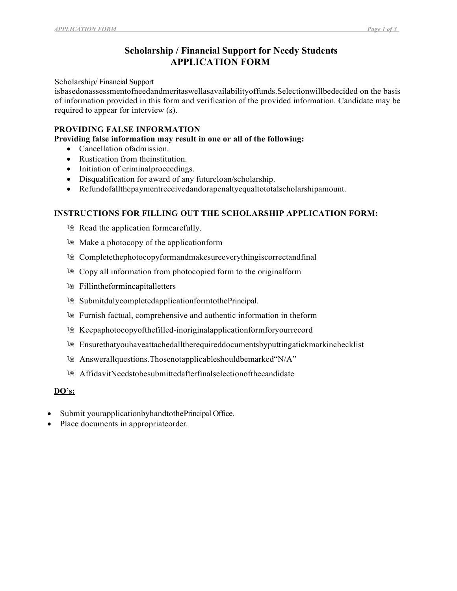# Scholarship / Financial Support for Needy Students APPLICATION FORM

Scholarship/ Financial Support

isbasedonassessmentofneedandmeritaswellasavailabilityoffunds.Selectionwillbedecided on the basis of information provided in this form and verification of the provided information. Candidate may be required to appear for interview (s).

### PROVIDING FALSE INFORMATION

Providing false information may result in one or all of the following:

- Cancellation of admission.
- Rustication from theinstitution.
- Initiation of criminal proceedings.
- Disqualification for award of any futureloan/scholarship.
- Refundofallthepaymentreceivedandorapenaltyequaltototalscholarshipamount.

### INSTRUCTIONS FOR FILLING OUT THE SCHOLARSHIP APPLICATION FORM:

- la Read the application formcarefully.
- Make a photocopy of the applicationform
- Completethephotocopyformandmakesureeverythingiscorrectandfinal
- Copy all information from photocopied form to the originalform
- *l* Fillintheformincapitalletters
- SubmitdulycompletedapplicationformtothePrincipal.
- Furnish factual, comprehensive and authentic information in theform
- Keepaphotocopyofthefilled-inoriginalapplicationformforyourrecord
- Ensurethatyouhaveattachedalltherequireddocumentsbyputtingatickmarkinchecklist
- Answerallquestions.Thosenotapplicableshouldbemarked"N/A"
- AffidavitNeedstobesubmittedafterfinalselectionofthecandidate

#### DO's:

- Submit yourapplicationbyhandtothePrincipal Office.
- Place documents in appropriateorder.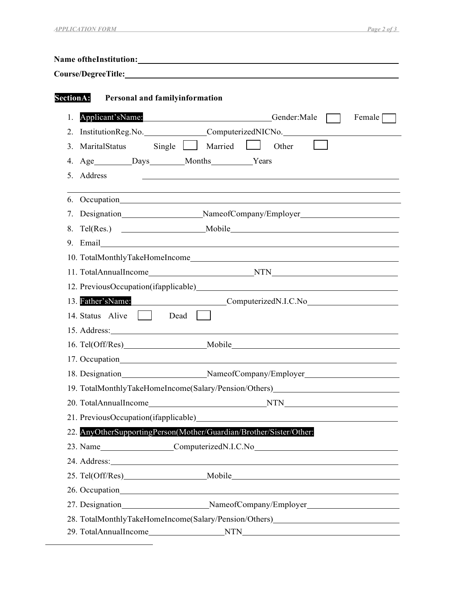|    | Course/Degree Title: No. 2014 19:30 No. 2014 19:30 No. 2014 19:30 No. 2014 19:30 No. 2014 19:30 No. 2014 19:30                                                                                                                 |
|----|--------------------------------------------------------------------------------------------------------------------------------------------------------------------------------------------------------------------------------|
|    | SectionA: Personal and familyinformation                                                                                                                                                                                       |
| 1. | Applicant'sName: Gender:Male<br>$F$ emale                                                                                                                                                                                      |
|    | 2. InstitutionReg.No. _______________ComputerizedNICNo. ________________________                                                                                                                                               |
|    | 3. MaritalStatus Single Married<br>Other                                                                                                                                                                                       |
|    | 4. Age _________Days ________Months __________Years                                                                                                                                                                            |
|    | 5. Address<br><u> 1989 - Johann Stoff, amerikansk politiker (* 1908)</u>                                                                                                                                                       |
|    | ,我们也不会有什么。""我们的人,我们也不会有什么?""我们的人,我们也不会有什么?""我们的人,我们的人,我们的人,我们的人,我们的人,我们的人,我们的人,我                                                                                                                                               |
| 7. | Designation________________________NameofCompany/Employer_______________________                                                                                                                                               |
| 8. |                                                                                                                                                                                                                                |
|    |                                                                                                                                                                                                                                |
|    |                                                                                                                                                                                                                                |
|    |                                                                                                                                                                                                                                |
|    |                                                                                                                                                                                                                                |
|    | 13. Father'sName: ComputerizedN.I.C.No                                                                                                                                                                                         |
|    | 14. Status Alive     Dead                                                                                                                                                                                                      |
|    |                                                                                                                                                                                                                                |
|    |                                                                                                                                                                                                                                |
|    |                                                                                                                                                                                                                                |
|    | 18. Designation________________________NameofCompany/Employer___________________                                                                                                                                               |
|    | 19. TotalMonthlyTakeHomeIncome(Salary/Pension/Others)___________________________                                                                                                                                               |
|    |                                                                                                                                                                                                                                |
|    |                                                                                                                                                                                                                                |
|    | 22. AnyOtherSupportingPerson(Mother/Guardian/Brother/Sister/Other:                                                                                                                                                             |
|    |                                                                                                                                                                                                                                |
|    | 24. Address: 2008. Contract and the contract of the contract of the contract of the contract of the contract of the contract of the contract of the contract of the contract of the contract of the contract of the contract o |
|    |                                                                                                                                                                                                                                |
|    |                                                                                                                                                                                                                                |
|    | 27. Designation__________________________NameofCompany/Employer_________________                                                                                                                                               |
|    | 28. TotalMonthlyTakeHomeIncome(Salary/Pension/Others)___________________________                                                                                                                                               |
|    |                                                                                                                                                                                                                                |